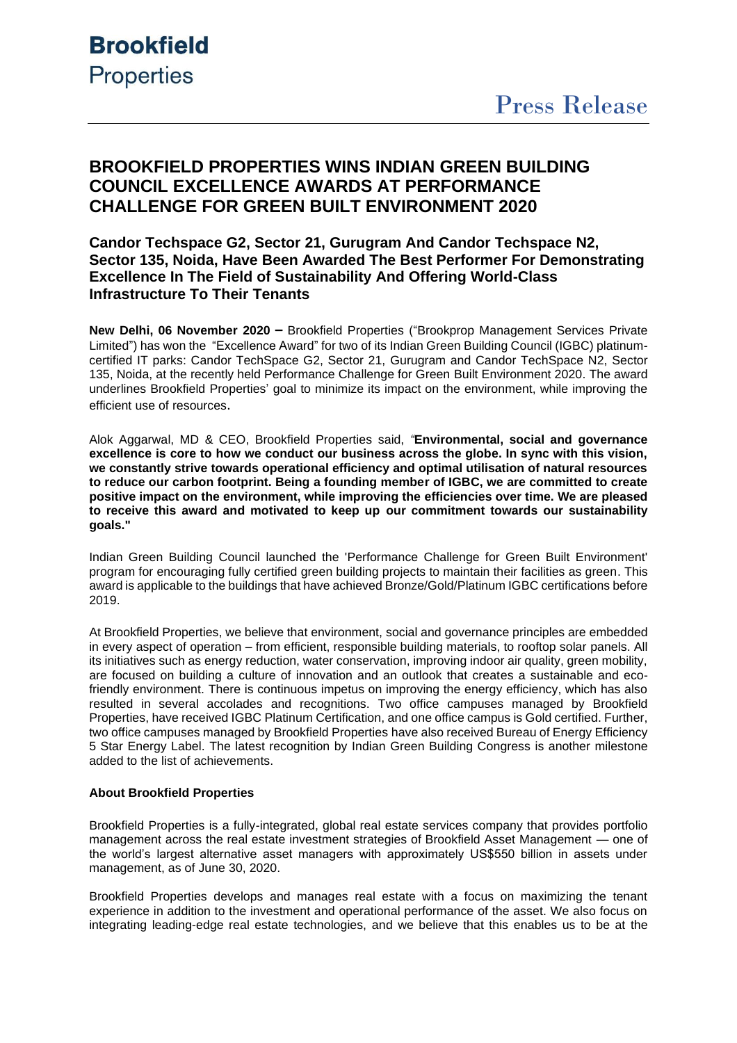## **BROOKFIELD PROPERTIES WINS INDIAN GREEN BUILDING COUNCIL EXCELLENCE AWARDS AT PERFORMANCE CHALLENGE FOR GREEN BUILT ENVIRONMENT 2020**

## **Candor Techspace G2, Sector 21, Gurugram And Candor Techspace N2, Sector 135, Noida, Have Been Awarded The Best Performer For Demonstrating Excellence In The Field of Sustainability And Offering World-Class Infrastructure To Their Tenants**

**New Delhi, 06 November 2020 –** Brookfield Properties ("Brookprop Management Services Private Limited") has won the "Excellence Award" for two of its Indian Green Building Council (IGBC) platinumcertified IT parks: Candor TechSpace G2, Sector 21, Gurugram and Candor TechSpace N2, Sector 135, Noida, at the recently held Performance Challenge for Green Built Environment 2020. The award underlines Brookfield Properties' goal to minimize its impact on the environment, while improving the efficient use of resources.

Alok Aggarwal, MD & CEO, Brookfield Properties said, *"***Environmental, social and governance excellence is core to how we conduct our business across the globe. In sync with this vision, we constantly strive towards operational efficiency and optimal utilisation of natural resources to reduce our carbon footprint. Being a founding member of IGBC, we are committed to create positive impact on the environment, while improving the efficiencies over time. We are pleased to receive this award and motivated to keep up our commitment towards our sustainability goals."**

Indian Green Building Council launched the 'Performance Challenge for Green Built Environment' program for encouraging fully certified green building projects to maintain their facilities as green. This award is applicable to the buildings that have achieved Bronze/Gold/Platinum IGBC certifications before 2019.

At Brookfield Properties, we believe that environment, social and governance principles are embedded in every aspect of operation – from efficient, responsible building materials, to rooftop solar panels. All its initiatives such as energy reduction, water conservation, improving indoor air quality, green mobility, are focused on building a culture of innovation and an outlook that creates a sustainable and ecofriendly environment. There is continuous impetus on improving the energy efficiency, which has also resulted in several accolades and recognitions. Two office campuses managed by Brookfield Properties, have received IGBC Platinum Certification, and one office campus is Gold certified. Further, two office campuses managed by Brookfield Properties have also received Bureau of Energy Efficiency 5 Star Energy Label. The latest recognition by Indian Green Building Congress is another milestone added to the list of achievements.

## **About Brookfield Properties**

Brookfield Properties is a fully-integrated, global real estate services company that provides portfolio management across the real estate investment strategies of Brookfield Asset Management — one of the world's largest alternative asset managers with approximately US\$550 billion in assets under management, as of June 30, 2020.

Brookfield Properties develops and manages real estate with a focus on maximizing the tenant experience in addition to the investment and operational performance of the asset. We also focus on integrating leading-edge real estate technologies, and we believe that this enables us to be at the